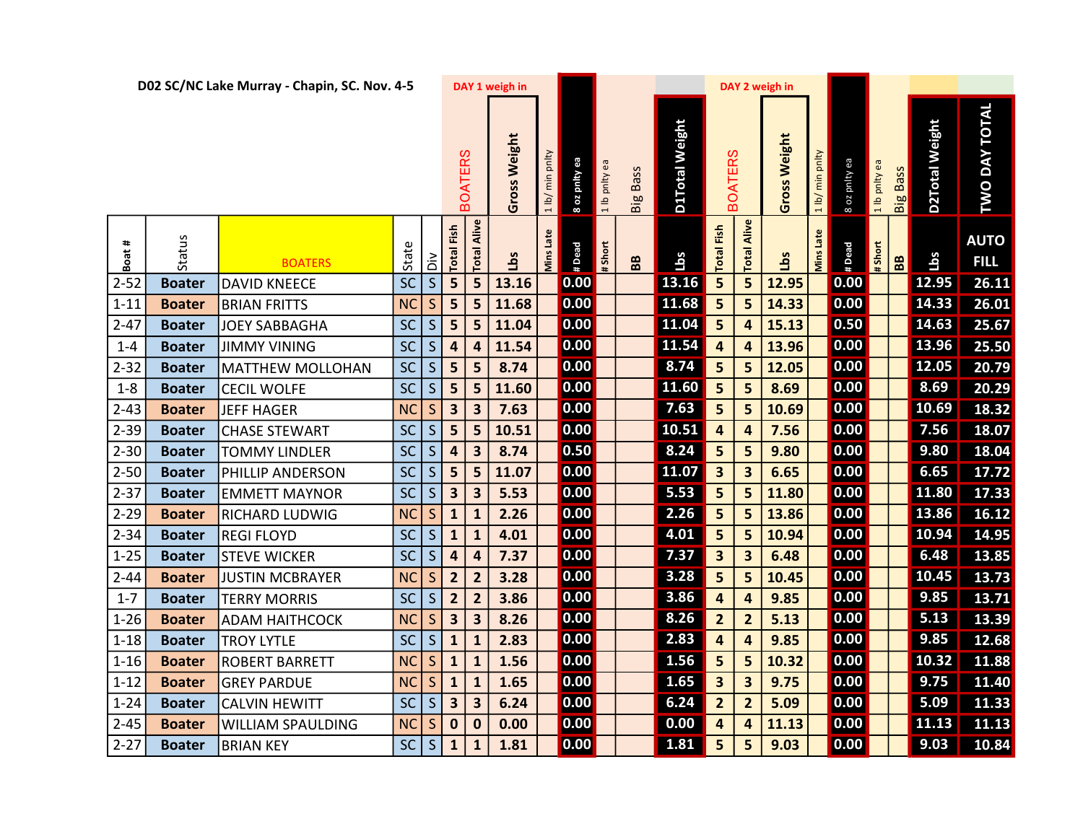| DAY TOTAL<br><b>D1Total Weight</b><br>D2Total Weight<br>Gross Weight<br>Gross Weight<br><b>BOATERS</b><br><b>BOATERS</b><br>min pnlty<br>1 lb/ min pnlty<br>pnity ea<br>8 oz pnity ea<br>æ<br>1 lb pnlty ea<br><b>Big Bass</b><br><b>Bass</b><br>1 lb pnlty<br><b>TWO</b><br>1 lb/<br>8 oz<br>Big<br>Alive<br>Alive<br><b>Total Fish</b><br>Fish<br>Late<br><b>Mins Late</b><br>Status<br><b>AUTO</b><br>$\pmb{\ast}$<br>State<br># Short<br>#Dead<br># Short<br>#Dead<br>Total<br>Boat;<br>Total<br>Mins<br>Total<br>Lbs<br><b>Lbs</b><br>Lbs<br>Lbs<br>$\frac{2}{5}$<br>88<br>BB<br><b>FILL</b><br><b>BOATERS</b><br>$\overline{\mathsf{S}}$<br>SC<br>13.16<br>5<br>5<br>0.00<br>5<br>0.00<br>12.95<br>26.11<br>5<br>12.95<br>$2 - 52$<br><b>Boater</b><br><b>DAVID KNEECE</b><br>13.16<br>11.68<br>$\boxed{14.33}$<br>0.00<br>0.00<br>26.01<br>NC<br>$\mathsf{S}$<br>5<br>5<br>5<br>14.33<br>5<br>11.68<br>$1 - 11$<br><b>Boater</b><br><b>BRIAN FRITTS</b><br>11.04<br>14.63<br>0.00<br>5<br>0.50<br>25.67<br>SC<br>S<br>5<br>$2 - 47$<br>5<br>11.04<br>$\overline{\mathbf{4}}$<br>15.13<br><b>JOEY SABBAGHA</b><br><b>Boater</b><br>11.54<br>13.96<br>SC<br>$\mathsf S$<br>0.00<br>13.96<br>0.00<br>25.50<br>$\overline{\mathbf{4}}$<br>11.54<br>$\overline{4}$<br><b>Boater</b><br><b>JIMMY VINING</b><br>$\overline{a}$<br>4<br>$1 - 4$<br>8.74<br> SC <br>0.00<br>12.05<br>S<br>0.00<br>12.05<br>20.79<br>$2 - 32$<br>5 <sub>5</sub><br>8.74<br>5<br>5<br>5<br><b>Boater</b><br><b>MATTHEW MOLLOHAN</b><br>11.60<br>8.69<br>SC<br>0.00<br>5<br>0.00<br>20.29<br>$\mathsf{S}$<br>5<br>5<br>8.69<br>5<br>11.60<br>$1 - 8$<br><b>CECIL WOLFE</b><br><b>Boater</b><br>7.63<br>10.69<br>0.00<br>5<br>0.00<br>18.32<br><b>NC</b><br>$\mathsf{S}$<br>3 <sup>1</sup><br>5<br>10.69<br>$2 - 43$<br><b>JEFF HAGER</b><br>$\overline{\mathbf{3}}$<br>7.63<br><b>Boater</b><br>10.51<br> SC <br>0.00<br>0.00<br>7.56<br>S<br>5 <sub>5</sub><br>7.56<br>18.07<br>$2 - 39$<br>5<br>10.51<br><b>Boater</b><br><b>CHASE STEWART</b><br>4<br>$\boldsymbol{4}$<br>8.24<br>0.50<br>0.00<br>9.80<br>18.04<br>$2 - 30$<br>SC<br>5<br>$\mathsf{S}$<br>4<br>8.74<br>5<br>9.80<br><b>TOMMY LINDLER</b><br>3<br><b>Boater</b><br>11.07<br>6.65<br>17.72<br>SC<br>S<br>5<br>0.00<br>$\overline{\mathbf{3}}$<br>0.00<br>$2 - 50$<br>PHILLIP ANDERSON<br>5<br>11.07<br>$\overline{\mathbf{3}}$<br>6.65<br><b>Boater</b><br><b>SC</b><br>$\mathsf{S}$<br>$\overline{\mathbf{3}}$<br>5.53<br>0.00<br>11.80<br>17.33<br>$2 - 37$<br>5.53<br>0.00<br>5<br>5<br>11.80<br>$\overline{\mathbf{3}}$<br><b>Boater</b><br><b>EMMETT MAYNOR</b><br>2.26<br>5<br>13.86<br>16.12<br>$2 - 29$<br><b>NC</b><br>$\mathsf{S}$<br>0.00<br>5<br>13.86<br>0.00<br>$\mathbf{1}$<br>2.26<br><b>Boater</b><br><b>RICHARD LUDWIG</b><br>$\mathbf{1}$<br>SC<br>S<br>4.01<br>10.94<br>14.95<br>0.00<br>5<br>5<br>0.00<br>$2 - 34$<br>$\mathbf{1}$<br>4.01<br>10.94<br><b>Boater</b><br><b>REGI FLOYD</b><br>$\mathbf{1}$<br>7.37<br>6.48<br>13.85<br><b>SC</b><br>S<br>0.00<br>$\overline{\mathbf{3}}$<br>$\overline{\mathbf{3}}$<br>6.48<br>0.00<br>$\overline{\mathbf{a}}$<br>7.37<br>$1 - 25$<br>$\boldsymbol{4}$<br><b>Boater</b><br><b>STEVE WICKER</b><br>3.28<br>10.45<br>13.73<br>0.00<br>5<br>0.00<br>$\mathsf{S}$<br>$\overline{2}$<br>3.28<br>5<br>10.45<br>$2 - 44$<br>NC<br><b>Boater</b><br><b>JUSTIN MCBRAYER</b><br>$\overline{2}$<br>3.86<br>13.71<br><b>SC</b><br>S<br>$\overline{2}$<br>0.00<br>0.00<br>9.85<br>3.86<br>9.85<br>$1 - 7$<br>$\overline{2}$<br>4<br><b>Boater</b><br><b>TERRY MORRIS</b><br>4<br>8.26<br>5.13<br>13.39<br>$\mathsf{S}$<br>$\overline{\mathbf{3}}$<br>0.00<br>0.00<br>NC<br>$\overline{\mathbf{3}}$<br>8.26<br>$\overline{2}$<br>$\overline{2}$<br>5.13<br>$1 - 26$<br><b>Boater</b><br><b>ADAM HAITHCOCK</b><br>2.83<br><b>SC</b><br>$\mathsf S$<br>0.00<br>0.00<br>9.85<br>12.68<br>9.85<br>$\mathbf{1}$<br>2.83<br>$\overline{\mathbf{4}}$<br>$\overline{\mathbf{4}}$<br>$1 - 18$<br><b>Boater</b><br><b>TROY LYTLE</b><br>$\mathbf{1}$<br>0.00<br>1.56<br>0.00<br>$\overline{10.32}$<br>11.88<br><b>NC</b><br>5<br>10.32<br>S<br>$\mathbf{1}$<br>1.56<br>5<br>$1 - 16$<br><b>Boater</b><br><b>ROBERT BARRETT</b><br>$\mathbf{1}$<br>$\mathsf{S}$<br>0.00<br>1.65<br>0.00<br>9.75<br>11.40<br>NC<br>$\overline{\mathbf{3}}$<br>$\overline{\mathbf{3}}$<br>9.75<br>$1 - 12$<br>$\mathbf{1}$<br>1.65<br><b>Boater</b><br><b>GREY PARDUE</b><br>$\mathbf{1}$<br>6.24<br>0.00<br>5.09<br>SC<br>S<br>$\overline{\mathbf{3}}$<br>0.00<br>5.09<br>11.33<br>$1 - 24$<br>6.24<br>$\overline{2}$<br>$\overline{2}$<br><b>CALVIN HEWITT</b><br>3<br><b>Boater</b><br>11.13<br>0.00<br>0.00<br>0.00<br>11.13<br>$2 - 45$<br>NC<br>S<br>$\mathbf 0$<br>0.00<br>11.13<br><b>Boater</b><br><b>WILLIAM SPAULDING</b><br>$\bf{0}$<br>4<br>4<br>SC<br>S<br>1.81<br>$2 - 27$<br>0.00<br>5<br>0.00<br>9.03<br>10.84<br>1.81<br>5<br>9.03<br><b>BRIAN KEY</b><br>$\mathbf{1}$<br><b>Boater</b><br>1 |  | D02 SC/NC Lake Murray - Chapin, SC. Nov. 4-5 |  |  | DAY 1 weigh in |  |  |  | DAY 2 weigh in |  |  |  |  |
|-------------------------------------------------------------------------------------------------------------------------------------------------------------------------------------------------------------------------------------------------------------------------------------------------------------------------------------------------------------------------------------------------------------------------------------------------------------------------------------------------------------------------------------------------------------------------------------------------------------------------------------------------------------------------------------------------------------------------------------------------------------------------------------------------------------------------------------------------------------------------------------------------------------------------------------------------------------------------------------------------------------------------------------------------------------------------------------------------------------------------------------------------------------------------------------------------------------------------------------------------------------------------------------------------------------------------------------------------------------------------------------------------------------------------------------------------------------------------------------------------------------------------------------------------------------------------------------------------------------------------------------------------------------------------------------------------------------------------------------------------------------------------------------------------------------------------------------------------------------------------------------------------------------------------------------------------------------------------------------------------------------------------------------------------------------------------------------------------------------------------------------------------------------------------------------------------------------------------------------------------------------------------------------------------------------------------------------------------------------------------------------------------------------------------------------------------------------------------------------------------------------------------------------------------------------------------------------------------------------------------------------------------------------------------------------------------------------------------------------------------------------------------------------------------------------------------------------------------------------------------------------------------------------------------------------------------------------------------------------------------------------------------------------------------------------------------------------------------------------------------------------------------------------------------------------------------------------------------------------------------------------------------------------------------------------------------------------------------------------------------------------------------------------------------------------------------------------------------------------------------------------------------------------------------------------------------------------------------------------------------------------------------------------------------------------------------------------------------------------------------------------------------------------------------------------------------------------------------------------------------------------------------------------------------------------------------------------------------------------------------------------------------------------------------------------------------------------------------------------------------------------------------------------------------------------------------------------------------------------------------------------------------------------------------------------------------------------------------------------------------------------------------------------------------------------------------------------------------------------------------------------------------------------------------------------------------------------------------------------------------------------------------------------------------------------------------------------------------------------------------------------------------------------------------------------------------------------------------------------------------------------------------------------------------------------------------------------------------------------|--|----------------------------------------------|--|--|----------------|--|--|--|----------------|--|--|--|--|
|                                                                                                                                                                                                                                                                                                                                                                                                                                                                                                                                                                                                                                                                                                                                                                                                                                                                                                                                                                                                                                                                                                                                                                                                                                                                                                                                                                                                                                                                                                                                                                                                                                                                                                                                                                                                                                                                                                                                                                                                                                                                                                                                                                                                                                                                                                                                                                                                                                                                                                                                                                                                                                                                                                                                                                                                                                                                                                                                                                                                                                                                                                                                                                                                                                                                                                                                                                                                                                                                                                                                                                                                                                                                                                                                                                                                                                                                                                                                                                                                                                                                                                                                                                                                                                                                                                                                                                                                                                                                                                                                                                                                                                                                                                                                                                                                                                                                                                                                                                                     |  |                                              |  |  |                |  |  |  |                |  |  |  |  |
|                                                                                                                                                                                                                                                                                                                                                                                                                                                                                                                                                                                                                                                                                                                                                                                                                                                                                                                                                                                                                                                                                                                                                                                                                                                                                                                                                                                                                                                                                                                                                                                                                                                                                                                                                                                                                                                                                                                                                                                                                                                                                                                                                                                                                                                                                                                                                                                                                                                                                                                                                                                                                                                                                                                                                                                                                                                                                                                                                                                                                                                                                                                                                                                                                                                                                                                                                                                                                                                                                                                                                                                                                                                                                                                                                                                                                                                                                                                                                                                                                                                                                                                                                                                                                                                                                                                                                                                                                                                                                                                                                                                                                                                                                                                                                                                                                                                                                                                                                                                     |  |                                              |  |  |                |  |  |  |                |  |  |  |  |
|                                                                                                                                                                                                                                                                                                                                                                                                                                                                                                                                                                                                                                                                                                                                                                                                                                                                                                                                                                                                                                                                                                                                                                                                                                                                                                                                                                                                                                                                                                                                                                                                                                                                                                                                                                                                                                                                                                                                                                                                                                                                                                                                                                                                                                                                                                                                                                                                                                                                                                                                                                                                                                                                                                                                                                                                                                                                                                                                                                                                                                                                                                                                                                                                                                                                                                                                                                                                                                                                                                                                                                                                                                                                                                                                                                                                                                                                                                                                                                                                                                                                                                                                                                                                                                                                                                                                                                                                                                                                                                                                                                                                                                                                                                                                                                                                                                                                                                                                                                                     |  |                                              |  |  |                |  |  |  |                |  |  |  |  |
|                                                                                                                                                                                                                                                                                                                                                                                                                                                                                                                                                                                                                                                                                                                                                                                                                                                                                                                                                                                                                                                                                                                                                                                                                                                                                                                                                                                                                                                                                                                                                                                                                                                                                                                                                                                                                                                                                                                                                                                                                                                                                                                                                                                                                                                                                                                                                                                                                                                                                                                                                                                                                                                                                                                                                                                                                                                                                                                                                                                                                                                                                                                                                                                                                                                                                                                                                                                                                                                                                                                                                                                                                                                                                                                                                                                                                                                                                                                                                                                                                                                                                                                                                                                                                                                                                                                                                                                                                                                                                                                                                                                                                                                                                                                                                                                                                                                                                                                                                                                     |  |                                              |  |  |                |  |  |  |                |  |  |  |  |
|                                                                                                                                                                                                                                                                                                                                                                                                                                                                                                                                                                                                                                                                                                                                                                                                                                                                                                                                                                                                                                                                                                                                                                                                                                                                                                                                                                                                                                                                                                                                                                                                                                                                                                                                                                                                                                                                                                                                                                                                                                                                                                                                                                                                                                                                                                                                                                                                                                                                                                                                                                                                                                                                                                                                                                                                                                                                                                                                                                                                                                                                                                                                                                                                                                                                                                                                                                                                                                                                                                                                                                                                                                                                                                                                                                                                                                                                                                                                                                                                                                                                                                                                                                                                                                                                                                                                                                                                                                                                                                                                                                                                                                                                                                                                                                                                                                                                                                                                                                                     |  |                                              |  |  |                |  |  |  |                |  |  |  |  |
|                                                                                                                                                                                                                                                                                                                                                                                                                                                                                                                                                                                                                                                                                                                                                                                                                                                                                                                                                                                                                                                                                                                                                                                                                                                                                                                                                                                                                                                                                                                                                                                                                                                                                                                                                                                                                                                                                                                                                                                                                                                                                                                                                                                                                                                                                                                                                                                                                                                                                                                                                                                                                                                                                                                                                                                                                                                                                                                                                                                                                                                                                                                                                                                                                                                                                                                                                                                                                                                                                                                                                                                                                                                                                                                                                                                                                                                                                                                                                                                                                                                                                                                                                                                                                                                                                                                                                                                                                                                                                                                                                                                                                                                                                                                                                                                                                                                                                                                                                                                     |  |                                              |  |  |                |  |  |  |                |  |  |  |  |
|                                                                                                                                                                                                                                                                                                                                                                                                                                                                                                                                                                                                                                                                                                                                                                                                                                                                                                                                                                                                                                                                                                                                                                                                                                                                                                                                                                                                                                                                                                                                                                                                                                                                                                                                                                                                                                                                                                                                                                                                                                                                                                                                                                                                                                                                                                                                                                                                                                                                                                                                                                                                                                                                                                                                                                                                                                                                                                                                                                                                                                                                                                                                                                                                                                                                                                                                                                                                                                                                                                                                                                                                                                                                                                                                                                                                                                                                                                                                                                                                                                                                                                                                                                                                                                                                                                                                                                                                                                                                                                                                                                                                                                                                                                                                                                                                                                                                                                                                                                                     |  |                                              |  |  |                |  |  |  |                |  |  |  |  |
|                                                                                                                                                                                                                                                                                                                                                                                                                                                                                                                                                                                                                                                                                                                                                                                                                                                                                                                                                                                                                                                                                                                                                                                                                                                                                                                                                                                                                                                                                                                                                                                                                                                                                                                                                                                                                                                                                                                                                                                                                                                                                                                                                                                                                                                                                                                                                                                                                                                                                                                                                                                                                                                                                                                                                                                                                                                                                                                                                                                                                                                                                                                                                                                                                                                                                                                                                                                                                                                                                                                                                                                                                                                                                                                                                                                                                                                                                                                                                                                                                                                                                                                                                                                                                                                                                                                                                                                                                                                                                                                                                                                                                                                                                                                                                                                                                                                                                                                                                                                     |  |                                              |  |  |                |  |  |  |                |  |  |  |  |
|                                                                                                                                                                                                                                                                                                                                                                                                                                                                                                                                                                                                                                                                                                                                                                                                                                                                                                                                                                                                                                                                                                                                                                                                                                                                                                                                                                                                                                                                                                                                                                                                                                                                                                                                                                                                                                                                                                                                                                                                                                                                                                                                                                                                                                                                                                                                                                                                                                                                                                                                                                                                                                                                                                                                                                                                                                                                                                                                                                                                                                                                                                                                                                                                                                                                                                                                                                                                                                                                                                                                                                                                                                                                                                                                                                                                                                                                                                                                                                                                                                                                                                                                                                                                                                                                                                                                                                                                                                                                                                                                                                                                                                                                                                                                                                                                                                                                                                                                                                                     |  |                                              |  |  |                |  |  |  |                |  |  |  |  |
|                                                                                                                                                                                                                                                                                                                                                                                                                                                                                                                                                                                                                                                                                                                                                                                                                                                                                                                                                                                                                                                                                                                                                                                                                                                                                                                                                                                                                                                                                                                                                                                                                                                                                                                                                                                                                                                                                                                                                                                                                                                                                                                                                                                                                                                                                                                                                                                                                                                                                                                                                                                                                                                                                                                                                                                                                                                                                                                                                                                                                                                                                                                                                                                                                                                                                                                                                                                                                                                                                                                                                                                                                                                                                                                                                                                                                                                                                                                                                                                                                                                                                                                                                                                                                                                                                                                                                                                                                                                                                                                                                                                                                                                                                                                                                                                                                                                                                                                                                                                     |  |                                              |  |  |                |  |  |  |                |  |  |  |  |
|                                                                                                                                                                                                                                                                                                                                                                                                                                                                                                                                                                                                                                                                                                                                                                                                                                                                                                                                                                                                                                                                                                                                                                                                                                                                                                                                                                                                                                                                                                                                                                                                                                                                                                                                                                                                                                                                                                                                                                                                                                                                                                                                                                                                                                                                                                                                                                                                                                                                                                                                                                                                                                                                                                                                                                                                                                                                                                                                                                                                                                                                                                                                                                                                                                                                                                                                                                                                                                                                                                                                                                                                                                                                                                                                                                                                                                                                                                                                                                                                                                                                                                                                                                                                                                                                                                                                                                                                                                                                                                                                                                                                                                                                                                                                                                                                                                                                                                                                                                                     |  |                                              |  |  |                |  |  |  |                |  |  |  |  |
|                                                                                                                                                                                                                                                                                                                                                                                                                                                                                                                                                                                                                                                                                                                                                                                                                                                                                                                                                                                                                                                                                                                                                                                                                                                                                                                                                                                                                                                                                                                                                                                                                                                                                                                                                                                                                                                                                                                                                                                                                                                                                                                                                                                                                                                                                                                                                                                                                                                                                                                                                                                                                                                                                                                                                                                                                                                                                                                                                                                                                                                                                                                                                                                                                                                                                                                                                                                                                                                                                                                                                                                                                                                                                                                                                                                                                                                                                                                                                                                                                                                                                                                                                                                                                                                                                                                                                                                                                                                                                                                                                                                                                                                                                                                                                                                                                                                                                                                                                                                     |  |                                              |  |  |                |  |  |  |                |  |  |  |  |
|                                                                                                                                                                                                                                                                                                                                                                                                                                                                                                                                                                                                                                                                                                                                                                                                                                                                                                                                                                                                                                                                                                                                                                                                                                                                                                                                                                                                                                                                                                                                                                                                                                                                                                                                                                                                                                                                                                                                                                                                                                                                                                                                                                                                                                                                                                                                                                                                                                                                                                                                                                                                                                                                                                                                                                                                                                                                                                                                                                                                                                                                                                                                                                                                                                                                                                                                                                                                                                                                                                                                                                                                                                                                                                                                                                                                                                                                                                                                                                                                                                                                                                                                                                                                                                                                                                                                                                                                                                                                                                                                                                                                                                                                                                                                                                                                                                                                                                                                                                                     |  |                                              |  |  |                |  |  |  |                |  |  |  |  |
|                                                                                                                                                                                                                                                                                                                                                                                                                                                                                                                                                                                                                                                                                                                                                                                                                                                                                                                                                                                                                                                                                                                                                                                                                                                                                                                                                                                                                                                                                                                                                                                                                                                                                                                                                                                                                                                                                                                                                                                                                                                                                                                                                                                                                                                                                                                                                                                                                                                                                                                                                                                                                                                                                                                                                                                                                                                                                                                                                                                                                                                                                                                                                                                                                                                                                                                                                                                                                                                                                                                                                                                                                                                                                                                                                                                                                                                                                                                                                                                                                                                                                                                                                                                                                                                                                                                                                                                                                                                                                                                                                                                                                                                                                                                                                                                                                                                                                                                                                                                     |  |                                              |  |  |                |  |  |  |                |  |  |  |  |
|                                                                                                                                                                                                                                                                                                                                                                                                                                                                                                                                                                                                                                                                                                                                                                                                                                                                                                                                                                                                                                                                                                                                                                                                                                                                                                                                                                                                                                                                                                                                                                                                                                                                                                                                                                                                                                                                                                                                                                                                                                                                                                                                                                                                                                                                                                                                                                                                                                                                                                                                                                                                                                                                                                                                                                                                                                                                                                                                                                                                                                                                                                                                                                                                                                                                                                                                                                                                                                                                                                                                                                                                                                                                                                                                                                                                                                                                                                                                                                                                                                                                                                                                                                                                                                                                                                                                                                                                                                                                                                                                                                                                                                                                                                                                                                                                                                                                                                                                                                                     |  |                                              |  |  |                |  |  |  |                |  |  |  |  |
|                                                                                                                                                                                                                                                                                                                                                                                                                                                                                                                                                                                                                                                                                                                                                                                                                                                                                                                                                                                                                                                                                                                                                                                                                                                                                                                                                                                                                                                                                                                                                                                                                                                                                                                                                                                                                                                                                                                                                                                                                                                                                                                                                                                                                                                                                                                                                                                                                                                                                                                                                                                                                                                                                                                                                                                                                                                                                                                                                                                                                                                                                                                                                                                                                                                                                                                                                                                                                                                                                                                                                                                                                                                                                                                                                                                                                                                                                                                                                                                                                                                                                                                                                                                                                                                                                                                                                                                                                                                                                                                                                                                                                                                                                                                                                                                                                                                                                                                                                                                     |  |                                              |  |  |                |  |  |  |                |  |  |  |  |
|                                                                                                                                                                                                                                                                                                                                                                                                                                                                                                                                                                                                                                                                                                                                                                                                                                                                                                                                                                                                                                                                                                                                                                                                                                                                                                                                                                                                                                                                                                                                                                                                                                                                                                                                                                                                                                                                                                                                                                                                                                                                                                                                                                                                                                                                                                                                                                                                                                                                                                                                                                                                                                                                                                                                                                                                                                                                                                                                                                                                                                                                                                                                                                                                                                                                                                                                                                                                                                                                                                                                                                                                                                                                                                                                                                                                                                                                                                                                                                                                                                                                                                                                                                                                                                                                                                                                                                                                                                                                                                                                                                                                                                                                                                                                                                                                                                                                                                                                                                                     |  |                                              |  |  |                |  |  |  |                |  |  |  |  |
|                                                                                                                                                                                                                                                                                                                                                                                                                                                                                                                                                                                                                                                                                                                                                                                                                                                                                                                                                                                                                                                                                                                                                                                                                                                                                                                                                                                                                                                                                                                                                                                                                                                                                                                                                                                                                                                                                                                                                                                                                                                                                                                                                                                                                                                                                                                                                                                                                                                                                                                                                                                                                                                                                                                                                                                                                                                                                                                                                                                                                                                                                                                                                                                                                                                                                                                                                                                                                                                                                                                                                                                                                                                                                                                                                                                                                                                                                                                                                                                                                                                                                                                                                                                                                                                                                                                                                                                                                                                                                                                                                                                                                                                                                                                                                                                                                                                                                                                                                                                     |  |                                              |  |  |                |  |  |  |                |  |  |  |  |
|                                                                                                                                                                                                                                                                                                                                                                                                                                                                                                                                                                                                                                                                                                                                                                                                                                                                                                                                                                                                                                                                                                                                                                                                                                                                                                                                                                                                                                                                                                                                                                                                                                                                                                                                                                                                                                                                                                                                                                                                                                                                                                                                                                                                                                                                                                                                                                                                                                                                                                                                                                                                                                                                                                                                                                                                                                                                                                                                                                                                                                                                                                                                                                                                                                                                                                                                                                                                                                                                                                                                                                                                                                                                                                                                                                                                                                                                                                                                                                                                                                                                                                                                                                                                                                                                                                                                                                                                                                                                                                                                                                                                                                                                                                                                                                                                                                                                                                                                                                                     |  |                                              |  |  |                |  |  |  |                |  |  |  |  |
|                                                                                                                                                                                                                                                                                                                                                                                                                                                                                                                                                                                                                                                                                                                                                                                                                                                                                                                                                                                                                                                                                                                                                                                                                                                                                                                                                                                                                                                                                                                                                                                                                                                                                                                                                                                                                                                                                                                                                                                                                                                                                                                                                                                                                                                                                                                                                                                                                                                                                                                                                                                                                                                                                                                                                                                                                                                                                                                                                                                                                                                                                                                                                                                                                                                                                                                                                                                                                                                                                                                                                                                                                                                                                                                                                                                                                                                                                                                                                                                                                                                                                                                                                                                                                                                                                                                                                                                                                                                                                                                                                                                                                                                                                                                                                                                                                                                                                                                                                                                     |  |                                              |  |  |                |  |  |  |                |  |  |  |  |
|                                                                                                                                                                                                                                                                                                                                                                                                                                                                                                                                                                                                                                                                                                                                                                                                                                                                                                                                                                                                                                                                                                                                                                                                                                                                                                                                                                                                                                                                                                                                                                                                                                                                                                                                                                                                                                                                                                                                                                                                                                                                                                                                                                                                                                                                                                                                                                                                                                                                                                                                                                                                                                                                                                                                                                                                                                                                                                                                                                                                                                                                                                                                                                                                                                                                                                                                                                                                                                                                                                                                                                                                                                                                                                                                                                                                                                                                                                                                                                                                                                                                                                                                                                                                                                                                                                                                                                                                                                                                                                                                                                                                                                                                                                                                                                                                                                                                                                                                                                                     |  |                                              |  |  |                |  |  |  |                |  |  |  |  |
|                                                                                                                                                                                                                                                                                                                                                                                                                                                                                                                                                                                                                                                                                                                                                                                                                                                                                                                                                                                                                                                                                                                                                                                                                                                                                                                                                                                                                                                                                                                                                                                                                                                                                                                                                                                                                                                                                                                                                                                                                                                                                                                                                                                                                                                                                                                                                                                                                                                                                                                                                                                                                                                                                                                                                                                                                                                                                                                                                                                                                                                                                                                                                                                                                                                                                                                                                                                                                                                                                                                                                                                                                                                                                                                                                                                                                                                                                                                                                                                                                                                                                                                                                                                                                                                                                                                                                                                                                                                                                                                                                                                                                                                                                                                                                                                                                                                                                                                                                                                     |  |                                              |  |  |                |  |  |  |                |  |  |  |  |
|                                                                                                                                                                                                                                                                                                                                                                                                                                                                                                                                                                                                                                                                                                                                                                                                                                                                                                                                                                                                                                                                                                                                                                                                                                                                                                                                                                                                                                                                                                                                                                                                                                                                                                                                                                                                                                                                                                                                                                                                                                                                                                                                                                                                                                                                                                                                                                                                                                                                                                                                                                                                                                                                                                                                                                                                                                                                                                                                                                                                                                                                                                                                                                                                                                                                                                                                                                                                                                                                                                                                                                                                                                                                                                                                                                                                                                                                                                                                                                                                                                                                                                                                                                                                                                                                                                                                                                                                                                                                                                                                                                                                                                                                                                                                                                                                                                                                                                                                                                                     |  |                                              |  |  |                |  |  |  |                |  |  |  |  |
|                                                                                                                                                                                                                                                                                                                                                                                                                                                                                                                                                                                                                                                                                                                                                                                                                                                                                                                                                                                                                                                                                                                                                                                                                                                                                                                                                                                                                                                                                                                                                                                                                                                                                                                                                                                                                                                                                                                                                                                                                                                                                                                                                                                                                                                                                                                                                                                                                                                                                                                                                                                                                                                                                                                                                                                                                                                                                                                                                                                                                                                                                                                                                                                                                                                                                                                                                                                                                                                                                                                                                                                                                                                                                                                                                                                                                                                                                                                                                                                                                                                                                                                                                                                                                                                                                                                                                                                                                                                                                                                                                                                                                                                                                                                                                                                                                                                                                                                                                                                     |  |                                              |  |  |                |  |  |  |                |  |  |  |  |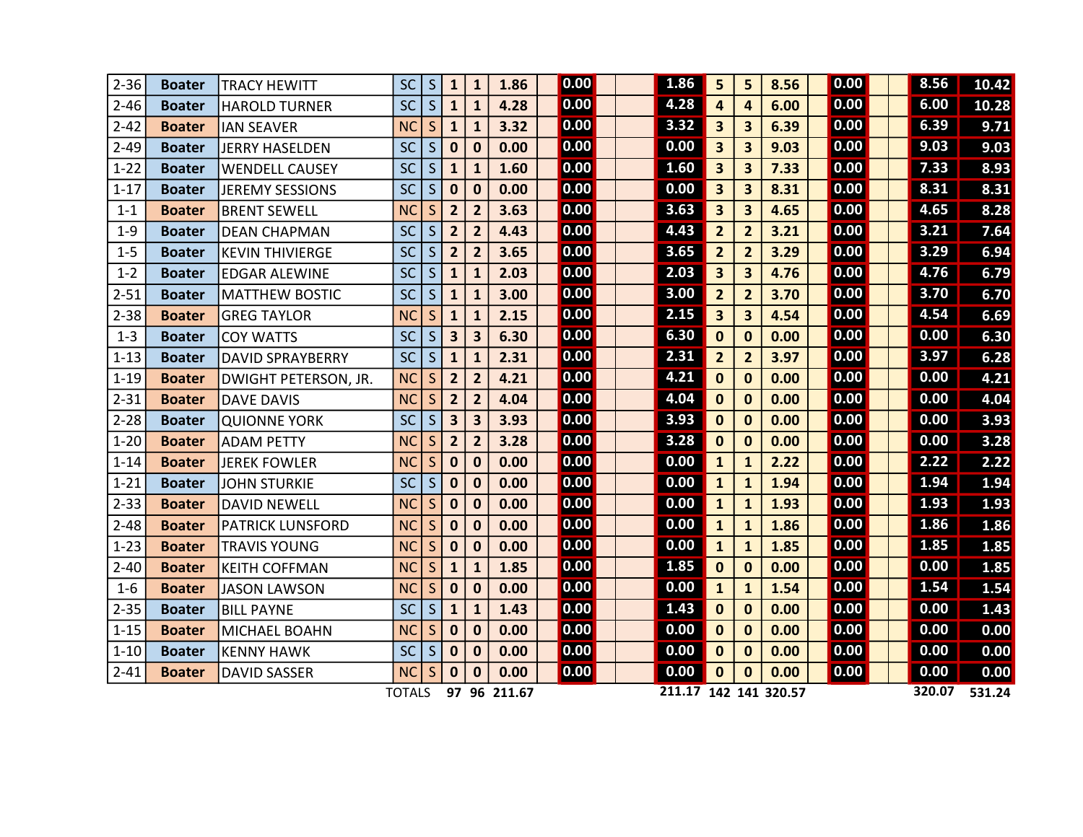| $2 - 36$ | <b>Boater</b> | <b>TRACY HEWITT</b>         | <b>SC</b>     | S               | $\mathbf{1}$            | $\mathbf{1}$     | 1.86         | 0.00 | 1.86                  | 5                       | 5                       | 8.56 | 0.00 |  | 8.56   | 10.42  |
|----------|---------------|-----------------------------|---------------|-----------------|-------------------------|------------------|--------------|------|-----------------------|-------------------------|-------------------------|------|------|--|--------|--------|
| $2 - 46$ | <b>Boater</b> | <b>HAROLD TURNER</b>        | <b>SC</b>     | S               | $\mathbf{1}$            | $\mathbf{1}$     | 4.28         | 0.00 | 4.28                  | $\boldsymbol{A}$        | 4                       | 6.00 | 0.00 |  | 6.00   | 10.28  |
| $2 - 42$ | <b>Boater</b> | <b>IAN SEAVER</b>           | <b>NC</b>     | S               | $\mathbf{1}$            | $\mathbf{1}$     | 3.32         | 0.00 | 3.32                  | 3                       | 3 <sup>1</sup>          | 6.39 | 0.00 |  | 6.39   | 9.71   |
| $2 - 49$ | <b>Boater</b> | JERRY HASELDEN              | <b>SC</b>     | S               | $\mathbf 0$             | $\mathbf 0$      | 0.00         | 0.00 | 0.00                  | $\overline{\mathbf{3}}$ | $\overline{\mathbf{3}}$ | 9.03 | 0.00 |  | 9.03   | 9.03   |
| $1 - 22$ | <b>Boater</b> | <b>WENDELL CAUSEY</b>       | <b>SC</b>     | S               | $\mathbf{1}$            | $\mathbf{1}$     | 1.60         | 0.00 | 1.60                  | 3                       | $\overline{\mathbf{3}}$ | 7.33 | 0.00 |  | 7.33   | 8.93   |
| $1 - 17$ | <b>Boater</b> | JEREMY SESSIONS             | SC            | S               | $\mathbf 0$             | $\mathbf 0$      | 0.00         | 0.00 | 0.00                  | $\overline{\mathbf{3}}$ | $\overline{\mathbf{3}}$ | 8.31 | 0.00 |  | 8.31   | 8.31   |
| $1 - 1$  | <b>Boater</b> | <b>BRENT SEWELL</b>         | <b>NC</b>     | $S_{\parallel}$ | $\overline{2}$          | $\overline{2}$   | 3.63         | 0.00 | 3.63                  | $\overline{\mathbf{3}}$ | 3 <sup>1</sup>          | 4.65 | 0.00 |  | 4.65   | 8.28   |
| $1 - 9$  | <b>Boater</b> | <b>DEAN CHAPMAN</b>         | SC            | S               | $\overline{2}$          | $\overline{2}$   | 4.43         | 0.00 | 4.43                  | $\overline{2}$          | $\overline{2}$          | 3.21 | 0.00 |  | 3.21   | 7.64   |
| $1 - 5$  | <b>Boater</b> | <b>KEVIN THIVIERGE</b>      | <b>SC</b>     | S               | $\overline{2}$          | $\overline{2}$   | 3.65         | 0.00 | 3.65                  | $\overline{2}$          | 2 <sup>1</sup>          | 3.29 | 0.00 |  | 3.29   | 6.94   |
| $1 - 2$  | <b>Boater</b> | <b>EDGAR ALEWINE</b>        | <b>SC</b>     | S               | $\mathbf{1}$            | $\mathbf{1}$     | 2.03         | 0.00 | 2.03                  | $\overline{\mathbf{3}}$ | 3 <sup>1</sup>          | 4.76 | 0.00 |  | 4.76   | 6.79   |
| $2 - 51$ | <b>Boater</b> | <b>MATTHEW BOSTIC</b>       | <b>SC</b>     | S               | $\mathbf{1}$            | $\mathbf{1}$     | 3.00         | 0.00 | 3.00                  | $\overline{2}$          | 2 <sup>1</sup>          | 3.70 | 0.00 |  | 3.70   | 6.70   |
| $2 - 38$ | <b>Boater</b> | <b>GREG TAYLOR</b>          | <b>NC</b>     | S               | $\mathbf{1}$            | $\mathbf{1}$     | 2.15         | 0.00 | 2.15                  | $\overline{\mathbf{3}}$ | 3 <sup>1</sup>          | 4.54 | 0.00 |  | 4.54   | 6.69   |
| $1 - 3$  | <b>Boater</b> | <b>COY WATTS</b>            | <b>SC</b>     | S               | $\mathbf{3}$            | 3                | 6.30         | 0.00 | 6.30                  | $\bf{0}$                | $\mathbf{0}$            | 0.00 | 0.00 |  | 0.00   | 6.30   |
| $1 - 13$ | <b>Boater</b> | <b>DAVID SPRAYBERRY</b>     | <b>SC</b>     | S               | $\mathbf{1}$            | $\mathbf{1}$     | 2.31         | 0.00 | 2.31                  | $\overline{2}$          | $\overline{2}$          | 3.97 | 0.00 |  | 3.97   | 6.28   |
| $1 - 19$ | <b>Boater</b> | <b>DWIGHT PETERSON, JR.</b> | <b>NC</b>     | S               | $\overline{2}$          | $\overline{2}$   | 4.21         | 0.00 | 4.21                  | $\mathbf 0$             | $\mathbf{0}$            | 0.00 | 0.00 |  | 0.00   | 4.21   |
| $2 - 31$ | <b>Boater</b> | <b>DAVE DAVIS</b>           | <b>NC</b>     | S               | $\overline{2}$          | $\overline{2}$   | 4.04         | 0.00 | 4.04                  | $\mathbf 0$             | $\mathbf{0}$            | 0.00 | 0.00 |  | 0.00   | 4.04   |
| $2 - 28$ | <b>Boater</b> | <b>QUIONNE YORK</b>         | <b>SC</b>     | S               | $\overline{\mathbf{3}}$ | 3                | 3.93         | 0.00 | 3.93                  | $\mathbf 0$             | $\mathbf{0}$            | 0.00 | 0.00 |  | 0.00   | 3.93   |
| $1 - 20$ | <b>Boater</b> | <b>ADAM PETTY</b>           | <b>NC</b>     | S               | $\overline{2}$          | $\overline{2}$   | 3.28         | 0.00 | 3.28                  | $\mathbf 0$             | $\mathbf{0}$            | 0.00 | 0.00 |  | 0.00   | 3.28   |
| $1 - 14$ | <b>Boater</b> | <b>JEREK FOWLER</b>         | <b>NC</b>     | S               | $\mathbf{0}$            | $\mathbf 0$      | 0.00         | 0.00 | 0.00                  | $\mathbf{1}$            | $\mathbf{1}$            | 2.22 | 0.00 |  | 2.22   | 2.22   |
| $1 - 21$ | <b>Boater</b> | JOHN STURKIE                | <b>SC</b>     | S               | $\mathbf 0$             | $\bf{0}$         | 0.00         | 0.00 | 0.00                  | $\mathbf{1}$            | $\mathbf{1}$            | 1.94 | 0.00 |  | 1.94   | 1.94   |
| $2 - 33$ | <b>Boater</b> | <b>DAVID NEWELL</b>         | <b>NC</b>     | S               | $\mathbf 0$             | $\mathbf 0$      | 0.00         | 0.00 | 0.00                  | $\mathbf{1}$            | $\mathbf{1}$            | 1.93 | 0.00 |  | 1.93   | 1.93   |
| $2 - 48$ | <b>Boater</b> | <b>PATRICK LUNSFORD</b>     | <b>NC</b>     | S               | $\mathbf 0$             | $\bf{0}$         | 0.00         | 0.00 | 0.00                  | $\mathbf{1}$            | $\mathbf{1}$            | 1.86 | 0.00 |  | 1.86   | 1.86   |
| $1 - 23$ | <b>Boater</b> | <b>TRAVIS YOUNG</b>         | <b>NC</b>     | S               | $\mathbf 0$             | $\boldsymbol{0}$ | 0.00         | 0.00 | 0.00                  | $\mathbf{1}$            | $\mathbf{1}$            | 1.85 | 0.00 |  | 1.85   | 1.85   |
| $2 - 40$ | <b>Boater</b> | <b>KEITH COFFMAN</b>        | <b>NC</b>     | S               | $\mathbf{1}$            | $\mathbf{1}$     | 1.85         | 0.00 | 1.85                  | $\mathbf 0$             | $\mathbf{0}$            | 0.00 | 0.00 |  | 0.00   | 1.85   |
| $1 - 6$  | <b>Boater</b> | <b>JASON LAWSON</b>         | <b>NC</b>     | S               | $\mathbf 0$             | $\bf{0}$         | 0.00         | 0.00 | 0.00                  | $\mathbf{1}$            | $\mathbf{1}$            | 1.54 | 0.00 |  | 1.54   | 1.54   |
| $2 - 35$ | <b>Boater</b> | <b>BILL PAYNE</b>           | SC            | S               | $\mathbf{1}$            | $\mathbf{1}$     | 1.43         | 0.00 | 1.43                  | $\mathbf 0$             | $\mathbf{0}$            | 0.00 | 0.00 |  | 0.00   | 1.43   |
| $1 - 15$ | <b>Boater</b> | MICHAEL BOAHN               | <b>NC</b>     | S               | $\mathbf 0$             | $\bf{0}$         | 0.00         | 0.00 | 0.00                  | $\mathbf 0$             | $\mathbf{0}$            | 0.00 | 0.00 |  | 0.00   | 0.00   |
| $1 - 10$ | <b>Boater</b> | <b>KENNY HAWK</b>           | <b>SC</b>     | S               | $\mathbf 0$             | $\bf{0}$         | 0.00         | 0.00 | 0.00                  | $\mathbf 0$             | $\mathbf{0}$            | 0.00 | 0.00 |  | 0.00   | 0.00   |
| $2 - 41$ | <b>Boater</b> | <b>DAVID SASSER</b>         | <b>NC</b>     | S.              | $\mathbf{0}$            | $\bf{0}$         | 0.00         | 0.00 | 0.00                  | $\mathbf 0$             | $\mathbf{0}$            | 0.00 | 0.00 |  | 0.00   | 0.00   |
|          |               |                             | <b>TOTALS</b> |                 |                         |                  | 97 96 211.67 |      | 211.17 142 141 320.57 |                         |                         |      |      |  | 320.07 | 531.24 |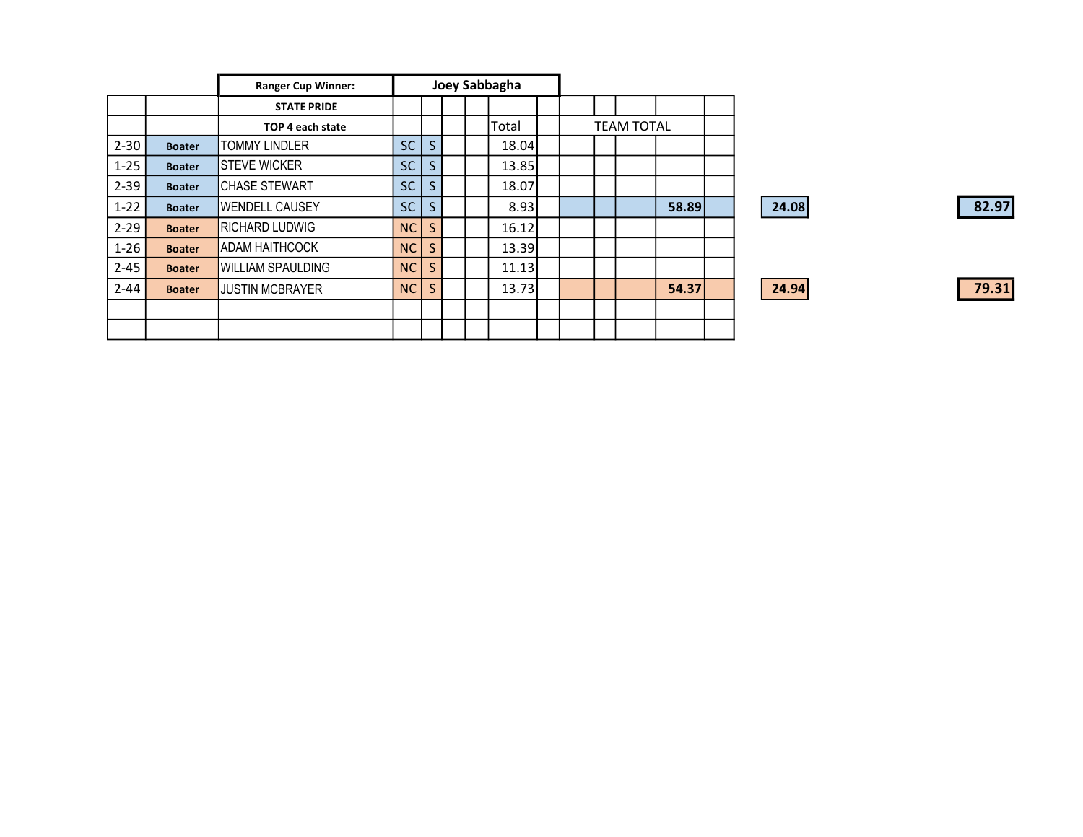|          |               | <b>Ranger Cup Winner:</b> |           |                 |  | Joey Sabbagha |                   |  |  |       |  |
|----------|---------------|---------------------------|-----------|-----------------|--|---------------|-------------------|--|--|-------|--|
|          |               | <b>STATE PRIDE</b>        |           |                 |  |               |                   |  |  |       |  |
|          |               | TOP 4 each state          |           |                 |  | Total         | <b>TEAM TOTAL</b> |  |  |       |  |
| $2 - 30$ | <b>Boater</b> | <b>TOMMY LINDLER</b>      | <b>SC</b> | S               |  | 18.04         |                   |  |  |       |  |
| $1 - 25$ | <b>Boater</b> | <b>ISTEVE WICKER</b>      | <b>SC</b> | S.              |  | 13.85         |                   |  |  |       |  |
| $2 - 39$ | <b>Boater</b> | <b>CHASE STEWART</b>      | SC        | S.              |  | 18.07         |                   |  |  |       |  |
| $1-22$   | <b>Boater</b> | <b>IWENDELL CAUSEY</b>    | <b>SC</b> | $S_{\parallel}$ |  | 8.93          |                   |  |  | 58.89 |  |
| $2 - 29$ | <b>Boater</b> | <b>RICHARD LUDWIG</b>     | NC        | S.              |  | 16.12         |                   |  |  |       |  |
| $1 - 26$ | <b>Boater</b> | <b>I</b> ADAM HAITHCOCK   | <b>NC</b> | S.              |  | 13.39         |                   |  |  |       |  |
| $2 - 45$ | <b>Boater</b> | <b>WILLIAM SPAULDING</b>  | <b>NC</b> | S.              |  | 11.13         |                   |  |  |       |  |
| $2 - 44$ | <b>Boater</b> | <b>JUSTIN MCBRAYER</b>    | NC        | S               |  | 13.73         |                   |  |  | 54.37 |  |
|          |               |                           |           |                 |  |               |                   |  |  |       |  |
|          |               |                           |           |                 |  |               |                   |  |  |       |  |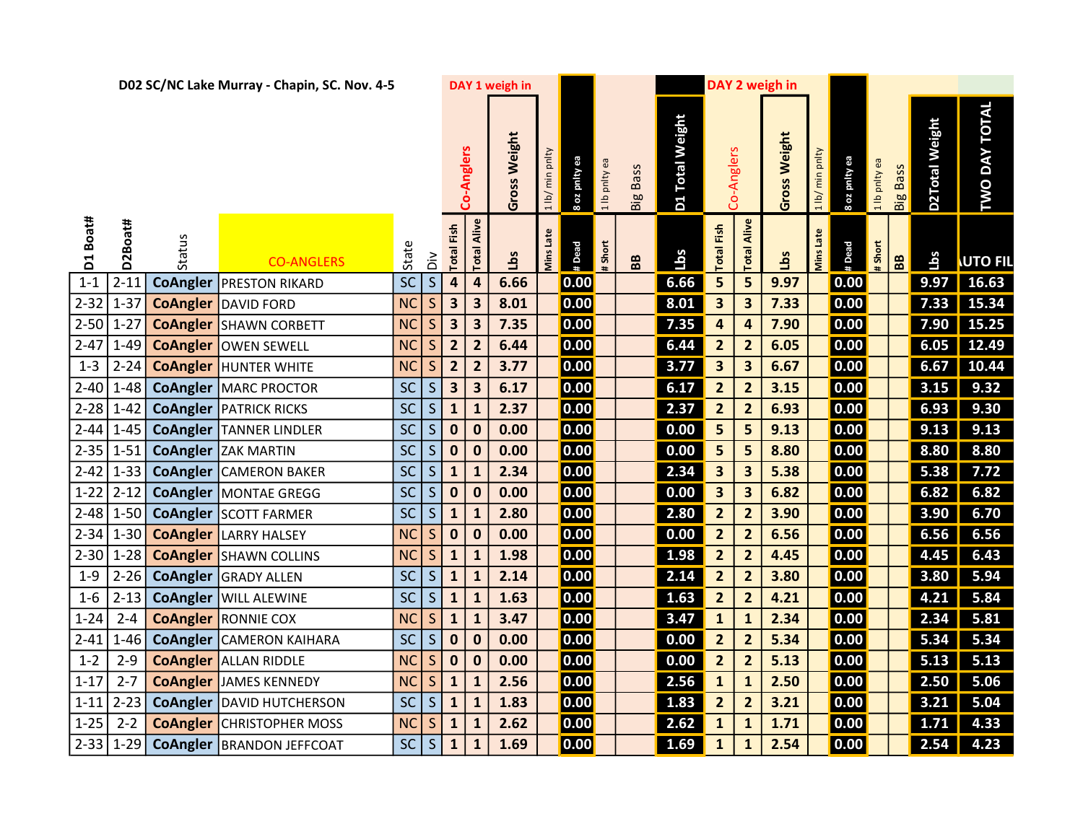|             | D02 SC/NC Lake Murray - Chapin, SC. Nov. 4-5 |                 |                                    |           |              |                   |                         | DAY 1 weigh in | DAY 2 weigh in   |                   |       |                 |                 |                         |                         |              |                 |                     |               |                 |                |                      |
|-------------|----------------------------------------------|-----------------|------------------------------------|-----------|--------------|-------------------|-------------------------|----------------|------------------|-------------------|-------|-----------------|-----------------|-------------------------|-------------------------|--------------|-----------------|---------------------|---------------|-----------------|----------------|----------------------|
|             |                                              |                 |                                    |           |              |                   | Co-Anglers              | Gross Weight   | 1 lb/ min pnlty  | 8 oz pnity ea     | pnlty | <b>Big Bass</b> | D1 Total Weight |                         | Co-Anglers              | Gross Weight | 1 lb/ min pnlty | <b>Boz</b> pnity ea | 1 lb pnlty ea | <b>Big Bass</b> | D2Total Weight | <b>TWO DAY TOTAL</b> |
| Boat#<br>Ed | D2Boat#                                      | Status          | <b>CO-ANGLERS</b>                  | State     | $\geq$       | <b>Total Fish</b> | Alive<br>Total          | <u>cg</u> T    | <b>Ains Late</b> | # Dead            | Short | BB              | <u>Lbs</u>      | <b>Total Fish</b>       | Alive<br>Total          | Lbs          | Vins Late       | # Dead              | #Short        | BB              | Lbs            | <b>UTO FIL</b>       |
| $1 - 1$     | $2 - 11$                                     | <b>CoAngler</b> | <b>PRESTON RIKARD</b>              | SC        | $\mathsf{S}$ | 4                 | 4                       | 6.66           |                  | 0.00              |       |                 | 6.66            | 5                       | 5                       | 9.97         |                 | 0.00                |               |                 | 9.97           | 16.63                |
| $2 - 32$    | $1 - 37$                                     |                 | <b>CoAngler</b> DAVID FORD         | <b>NC</b> | $\mathsf S$  | 3                 | 3                       | 8.01           |                  | 0.00              |       |                 | 8.01            | $\overline{\mathbf{3}}$ | $\overline{\mathbf{3}}$ | 7.33         |                 | 0.00                |               |                 | 7.33           | 15.34                |
| 2-50   1-27 |                                              |                 | <b>CoAngler</b> SHAWN CORBETT      | <b>NC</b> | S            | 3                 | $\overline{\mathbf{3}}$ | 7.35           |                  | 0.00              |       |                 | 7.35            | $\overline{\mathbf{r}}$ | 4                       | 7.90         |                 | 0.00                |               |                 | 7.90           | 15.25                |
| $2 - 47$    | $1 - 49$                                     |                 | <b>CoAngler OWEN SEWELL</b>        | <b>NC</b> | $\sf S$      | $\overline{2}$    | $\overline{2}$          | 6.44           |                  | $\overline{0.00}$ |       |                 | 6.44            | $\overline{\mathbf{2}}$ | $\overline{2}$          | 6.05         |                 | 0.00                |               |                 | 6.05           | 12.49                |
| $1 - 3$     | $2 - 24$                                     | <b>CoAngler</b> | <b>HUNTER WHITE</b>                | <b>NC</b> | $\mathsf S$  | $\overline{2}$    | $\overline{2}$          | 3.77           |                  | 0.00              |       |                 | 3.77            | $\overline{\mathbf{3}}$ | $\overline{\mathbf{3}}$ | 6.67         |                 | 0.00                |               |                 | 6.67           | 10.44                |
| $2 - 40$    | $1 - 48$                                     |                 | <b>CoAngler   MARC PROCTOR</b>     | <b>SC</b> | S            | 3                 | 3                       | 6.17           |                  | 0.00              |       |                 | 6.17            | $\overline{2}$          | $\overline{2}$          | 3.15         |                 | 0.00                |               |                 | 3.15           | 9.32                 |
| $2 - 28$    | $1 - 42$                                     |                 | <b>CoAngler   PATRICK RICKS</b>    | <b>SC</b> | S            | $\mathbf{1}$      | $\mathbf{1}$            | 2.37           |                  | 0.00              |       |                 | 2.37            | $\overline{\mathbf{2}}$ | $\overline{\mathbf{2}}$ | 6.93         |                 | 0.00                |               |                 | 6.93           | 9.30                 |
| 2-44        | $1 - 45$                                     |                 | <b>CoAngler TANNER LINDLER</b>     | SC        | S            | $\bf{0}$          | $\bf{0}$                | 0.00           |                  | 0.00              |       |                 | 0.00            | 5                       | 5                       | 9.13         |                 | 0.00                |               |                 | 9.13           | 9.13                 |
| 2-35        | $1 - 51$                                     |                 | <b>CoAngler</b> ZAK MARTIN         | SC        | $\mathsf S$  | $\bf{0}$          | $\mathbf 0$             | 0.00           |                  | 0.00              |       |                 | 0.00            | 5                       | 5                       | 8.80         |                 | 0.00                |               |                 | 8.80           | 8.80                 |
| $2 - 42$    | $1 - 33$                                     |                 | <b>CoAngler   CAMERON BAKER</b>    | <b>SC</b> | S            | $\mathbf{1}$      | $\mathbf{1}$            | 2.34           |                  | 0.00              |       |                 | 2.34            | $\overline{\mathbf{3}}$ | $\overline{\mathbf{3}}$ | 5.38         |                 | 0.00                |               |                 | 5.38           | 7.72                 |
| $1 - 22$    | $2 - 12$                                     |                 | <b>CoAngler   MONTAE GREGG</b>     | SC        | $\mathsf{S}$ | $\bf{0}$          | $\bf{0}$                | 0.00           |                  | 0.00              |       |                 | 0.00            | $\overline{\mathbf{3}}$ | $\overline{\mathbf{3}}$ | 6.82         |                 | 0.00                |               |                 | 6.82           | 6.82                 |
| 2-48        | $1 - 50$                                     |                 | <b>CoAngler SCOTT FARMER</b>       | <b>SC</b> | $\mathsf S$  | $\mathbf{1}$      | $\mathbf{1}$            | 2.80           |                  | 0.00              |       |                 | 2.80            | $\overline{2}$          | $\overline{2}$          | 3.90         |                 | 0.00                |               |                 | 3.90           | 6.70                 |
| $2 - 34$    |                                              |                 | 1-30 <b>CoAngler</b> LARRY HALSEY  | <b>NC</b> | S.           | $\mathbf 0$       | $\bf{0}$                | 0.00           |                  | 0.00              |       |                 | 0.00            | $\overline{2}$          | $\overline{2}$          | 6.56         |                 | 0.00                |               |                 | 6.56           | 6.56                 |
| $2 - 30$    | $1 - 28$                                     |                 | <b>CoAngler</b> SHAWN COLLINS      | <b>NC</b> | $\sf S$      | $\mathbf{1}$      | 1                       | 1.98           |                  | 0.00              |       |                 | 1.98            | $\overline{\mathbf{2}}$ | $\overline{2}$          | 4.45         |                 | 0.00                |               |                 | 4.45           | 6.43                 |
| $1 - 9$     | $2 - 26$                                     |                 | <b>CoAngler GRADY ALLEN</b>        | <b>SC</b> | S            | $\mathbf{1}$      | $\mathbf{1}$            | 2.14           |                  | 0.00              |       |                 | 2.14            | $\overline{2}$          | $\overline{2}$          | 3.80         |                 | 0.00                |               |                 | 3.80           | 5.94                 |
| $1 - 6$     | $2 - 13$                                     |                 | <b>CoAngler   WILL ALEWINE</b>     | SC        | $\mathsf{S}$ | ${\bf 1}$         | $\mathbf{1}$            | 1.63           |                  | 0.00              |       |                 | 1.63            | $\overline{2}$          | $\overline{2}$          | 4.21         |                 | 0.00                |               |                 | 4.21           | 5.84                 |
| $1 - 24$    | $2 - 4$                                      |                 | <b>CoAngler</b> RONNIE COX         | <b>NC</b> | $\mathsf S$  | $\mathbf{1}$      | $\mathbf{1}$            | 3.47           |                  | 0.00              |       |                 | 3.47            | $\mathbf{1}$            | $\mathbf{1}$            | 2.34         |                 | 0.00                |               |                 | 2.34           | 5.81                 |
| $2 - 41$    | $1 - 46$                                     |                 | <b>CoAngler CAMERON KAIHARA</b>    | SC        | S.           | $\bf{0}$          | 0                       | 0.00           |                  | 0.00              |       |                 | 0.00            | $\overline{2}$          | $\overline{2}$          | 5.34         |                 | 0.00                |               |                 | 5.34           | 5.34                 |
| $1 - 2$     | $2 - 9$                                      |                 | <b>CoAngler</b> ALLAN RIDDLE       | <b>NC</b> | $\sf S$      | $\mathbf 0$       | $\mathbf 0$             | 0.00           |                  | 0.00              |       |                 | 0.00            | $\overline{2}$          | $\overline{2}$          | 5.13         |                 | 0.00                |               |                 | 5.13           | 5.13                 |
| $1 - 17$    | $2 - 7$                                      |                 | <b>CoAngler JAMES KENNEDY</b>      | <b>NC</b> | S.           | $\mathbf{1}$      | $\mathbf{1}$            | 2.56           |                  | 0.00              |       |                 | 2.56            | $\mathbf{1}$            | $\mathbf{1}$            | 2.50         |                 | 0.00                |               |                 | 2.50           | 5.06                 |
| $1 - 11$    | $2 - 23$                                     |                 | <b>CoAngler   DAVID HUTCHERSON</b> | <b>SC</b> | $\sf S$      | $\mathbf{1}$      | $\mathbf{1}$            | 1.83           |                  | 0.00              |       |                 | 1.83            | $\overline{2}$          | $\overline{2}$          | 3.21         |                 | 0.00                |               |                 | 3.21           | 5.04                 |
| $1 - 25$    | $2 - 2$                                      |                 | <b>CoAngler</b> CHRISTOPHER MOSS   | <b>NC</b> | $\mathsf{S}$ | $\mathbf{1}$      | ${\bf 1}$               | 2.62           |                  | 0.00              |       |                 | 2.62            | $\mathbf{1}$            | $\mathbf{1}$            | 1.71         |                 | 0.00                |               |                 | 1.71           | 4.33                 |
| $2 - 33$    | $1-29$                                       |                 | <b>CoAngler   BRANDON JEFFCOAT</b> | <b>SC</b> | S            | ${\bf 1}$         | $\mathbf{1}$            | 1.69           |                  | 0.00              |       |                 | 1.69            | $\mathbf{1}$            | $\mathbf{1}$            | 2.54         |                 | 0.00                |               |                 | 2.54           | 4.23                 |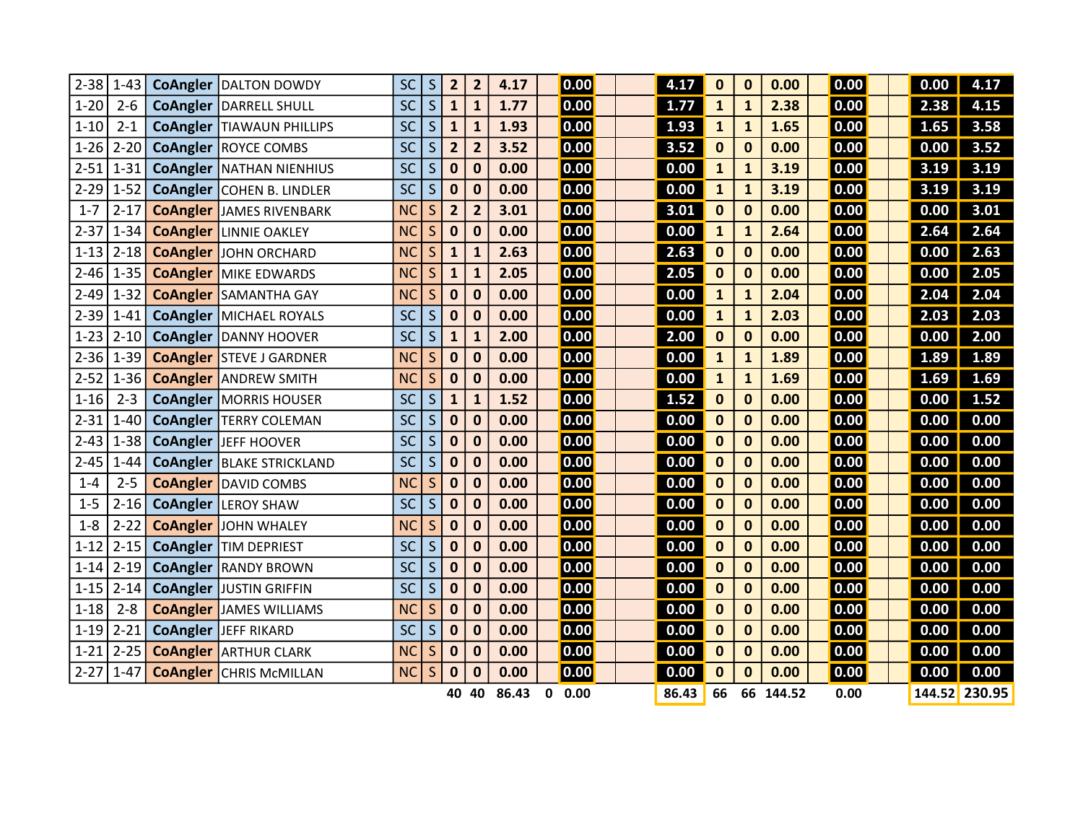| $2 - 38$ | $1 - 43$ | <b>CoAngler  DALTON DOWDY</b>      | <b>SC</b> | S           | $\overline{2}$ | $\overline{2}$          | 4.17  |   | 0.00 | 4.17  | $\mathbf 0$  | 0            | 0.00      | 0.00           | 0.00 | 4.17          |
|----------|----------|------------------------------------|-----------|-------------|----------------|-------------------------|-------|---|------|-------|--------------|--------------|-----------|----------------|------|---------------|
| $1 - 20$ | $2 - 6$  | <b>CoAngler   DARRELL SHULL</b>    | <b>SC</b> | S           | $\mathbf{1}$   | $\mathbf{1}$            | 1.77  |   | 0.00 | 1.77  | $\mathbf{1}$ | 1            | 2.38      | 0.00           | 2.38 | 4.15          |
| $1 - 10$ | $2 - 1$  | <b>CoAngler   TIAWAUN PHILLIPS</b> | <b>SC</b> | S           | $\mathbf{1}$   | $\mathbf{1}$            | 1.93  |   | 0.00 | 1.93  | $\mathbf{1}$ | $\mathbf{1}$ | 1.65      | 0.00           | 1.65 | 3.58          |
| $1 - 26$ | $2 - 20$ | <b>CoAngler ROYCE COMBS</b>        | <b>SC</b> | S           | $\overline{2}$ | $\overline{2}$          | 3.52  |   | 0.00 | 3.52  | $\bf{0}$     | $\mathbf 0$  | 0.00      | 0.00           | 0.00 | 3.52          |
| $2 - 51$ | $1 - 31$ | <b>CoAngler   NATHAN NIENHIUS</b>  | <b>SC</b> | S           | $\bf{0}$       | $\bf{0}$                | 0.00  |   | 0.00 | 0.00  | $\mathbf{1}$ | 1            | 3.19      | 0.00           | 3.19 | 3.19          |
| $2 - 29$ | $1 - 52$ | CoAngler   COHEN B. LINDLER        | <b>SC</b> | S           | $\bf{0}$       | $\mathbf 0$             | 0.00  |   | 0.00 | 0.00  | $\mathbf{1}$ | 1            | 3.19      | 0.00           | 3.19 | 3.19          |
| $1 - 7$  | $2 - 17$ | <b>CoAngler JAMES RIVENBARK</b>    | <b>NC</b> | S           | $\overline{2}$ | $\overline{\mathbf{2}}$ | 3.01  |   | 0.00 | 3.01  | $\bf{0}$     | $\mathbf 0$  | 0.00      | 0.00           | 0.00 | 3.01          |
| $2 - 37$ | $1 - 34$ | <b>CoAngler   LINNIE OAKLEY</b>    | <b>NC</b> | S           | $\bf{0}$       | $\bf{0}$                | 0.00  |   | 0.00 | 0.00  | $\mathbf{1}$ | $\mathbf{1}$ | 2.64      | 0.00           | 2.64 | 2.64          |
| $1 - 13$ | $2 - 18$ | <b>CoAngler JOHN ORCHARD</b>       | <b>NC</b> | S           | $\mathbf{1}$   | ${\bf 1}$               | 2.63  |   | 0.00 | 2.63  | $\bf{0}$     | 0            | 0.00      | 0.00           | 0.00 | 2.63          |
| $2 - 46$ | $1 - 35$ | <b>CoAngler   MIKE EDWARDS</b>     | <b>NC</b> | S           | $\mathbf{1}$   | ${\bf 1}$               | 2.05  |   | 0.00 | 2.05  | $\bf{0}$     | $\mathbf 0$  | 0.00      | 0.00           | 0.00 | 2.05          |
| $2 - 49$ | $1 - 32$ | <b>CoAngler</b> SAMANTHA GAY       | <b>NC</b> | S           | $\bf{0}$       | $\bf{0}$                | 0.00  |   | 0.00 | 0.00  | $\mathbf{1}$ | $\mathbf{1}$ | 2.04      | 0.00           | 2.04 | 2.04          |
| $2 - 39$ | $1 - 41$ | <b>CoAngler   MICHAEL ROYALS</b>   | <b>SC</b> | S           | $\bf{0}$       | $\bf{0}$                | 0.00  |   | 0.00 | 0.00  | $\mathbf{1}$ | 1            | 2.03      | $\boxed{0.00}$ | 2.03 | 2.03          |
| $1 - 23$ | $2 - 10$ | <b>CoAngler   DANNY HOOVER</b>     | <b>SC</b> | S           | $\mathbf{1}$   | $\mathbf{1}$            | 2.00  |   | 0.00 | 2.00  | $\bf{0}$     | 0            | 0.00      | 0.00           | 0.00 | 2.00          |
| $2 - 36$ | $1 - 39$ | <b>CoAngler  STEVE J GARDNER</b>   | <b>NC</b> | S           | $\bf{0}$       | $\mathbf 0$             | 0.00  |   | 0.00 | 0.00  | $\mathbf{1}$ | $\mathbf{1}$ | 1.89      | 0.00           | 1.89 | 1.89          |
| $2 - 52$ | $1 - 36$ | <b>CoAngler ANDREW SMITH</b>       | <b>NC</b> | S           | $\bf{0}$       | $\bf{0}$                | 0.00  |   | 0.00 | 0.00  | $\mathbf{1}$ | 1            | 1.69      | 0.00           | 1.69 | 1.69          |
| $1 - 16$ | $2 - 3$  | <b>CoAngler   MORRIS HOUSER</b>    | <b>SC</b> | $\mathsf S$ | $\mathbf{1}$   | $\mathbf 1$             | 1.52  |   | 0.00 | 1.52  | $\bf{0}$     | $\mathbf 0$  | 0.00      | 0.00           | 0.00 | 1.52          |
| $2 - 31$ | $1 - 40$ | <b>CoAngler  TERRY COLEMAN</b>     | <b>SC</b> | S           | $\bf{0}$       | $\boldsymbol{0}$        | 0.00  |   | 0.00 | 0.00  | $\bf{0}$     | $\mathbf 0$  | 0.00      | 0.00           | 0.00 | 0.00          |
| $2 - 43$ | $1 - 38$ | <b>CoAngler  JEFF HOOVER</b>       | <b>SC</b> | S           | $\bf{0}$       | $\mathbf 0$             | 0.00  |   | 0.00 | 0.00  | $\bf{0}$     | $\mathbf 0$  | 0.00      | 0.00           | 0.00 | 0.00          |
| $2 - 45$ | $1 - 44$ | <b>CoAngler   BLAKE STRICKLAND</b> | <b>SC</b> | S           | $\bf{0}$       | $\boldsymbol{0}$        | 0.00  |   | 0.00 | 0.00  | $\bf{0}$     | $\mathbf 0$  | 0.00      | 0.00           | 0.00 | 0.00          |
| $1 - 4$  | $2 - 5$  | <b>CoAngler</b> DAVID COMBS        | <b>NC</b> | S           | $\bf{0}$       | $\mathbf 0$             | 0.00  |   | 0.00 | 0.00  | $\bf{0}$     | $\mathbf 0$  | 0.00      | 0.00           | 0.00 | 0.00          |
| $1 - 5$  | $2 - 16$ | <b>CoAngler</b> LEROY SHAW         | <b>SC</b> | S           | $\bf{0}$       | $\boldsymbol{0}$        | 0.00  |   | 0.00 | 0.00  | $\bf{0}$     | 0            | 0.00      | 0.00           | 0.00 | 0.00          |
| $1 - 8$  | $2 - 22$ | <b>CoAngler JOHN WHALEY</b>        | <b>NC</b> | S           | $\bf{0}$       | $\mathbf 0$             | 0.00  |   | 0.00 | 0.00  | $\bf{0}$     | 0            | 0.00      | 0.00           | 0.00 | 0.00          |
| $1 - 12$ | $2 - 15$ | <b>CoAngler   TIM DEPRIEST</b>     | SC        | S           | $\bf{0}$       | $\boldsymbol{0}$        | 0.00  |   | 0.00 | 0.00  | $\bf{0}$     | 0            | 0.00      | 0.00           | 0.00 | 0.00          |
| $1 - 14$ | $2 - 19$ | <b>CoAngler RANDY BROWN</b>        | <b>SC</b> | S           | $\bf{0}$       | $\bf{0}$                | 0.00  |   | 0.00 | 0.00  | $\bf{0}$     | 0            | 0.00      | 0.00           | 0.00 | 0.00          |
| $1 - 15$ | $2 - 14$ | <b>CoAngler JUSTIN GRIFFIN</b>     | <b>SC</b> | S           | $\bf{0}$       | $\boldsymbol{0}$        | 0.00  |   | 0.00 | 0.00  | $\bf{0}$     | 0            | 0.00      | 0.00           | 0.00 | 0.00          |
| $1 - 18$ | $2 - 8$  | <b>CoAngler JAMES WILLIAMS</b>     | <b>NC</b> | S           | $\bf{0}$       | $\boldsymbol{0}$        | 0.00  |   | 0.00 | 0.00  | $\bf{0}$     | 0            | 0.00      | 0.00           | 0.00 | 0.00          |
| $1 - 19$ | $2 - 21$ | <b>CoAngler   JEFF RIKARD</b>      | <b>SC</b> | S           | $\bf{0}$       | $\boldsymbol{0}$        | 0.00  |   | 0.00 | 0.00  | $\bf{0}$     | 0            | 0.00      | 0.00           | 0.00 | 0.00          |
| $1 - 21$ | $2 - 25$ | <b>CoAngler ARTHUR CLARK</b>       | <b>NC</b> | S           | $\bf{0}$       | $\bf{0}$                | 0.00  |   | 0.00 | 0.00  | $\bf{0}$     | 0            | 0.00      | 0.00           | 0.00 | 0.00          |
| $2 - 27$ | $1 - 47$ | <b>CoAngler</b> CHRIS McMILLAN     | <b>NC</b> | S           | $\bf{0}$       | $\boldsymbol{0}$        | 0.00  |   | 0.00 | 0.00  | $\mathbf 0$  | $\Omega$     | 0.00      | 0.00           | 0.00 | 0.00          |
|          |          |                                    |           |             |                | 40 40                   | 86.43 | 0 | 0.00 | 86.43 | 66           |              | 66 144.52 | 0.00           |      | 144.52 230.95 |